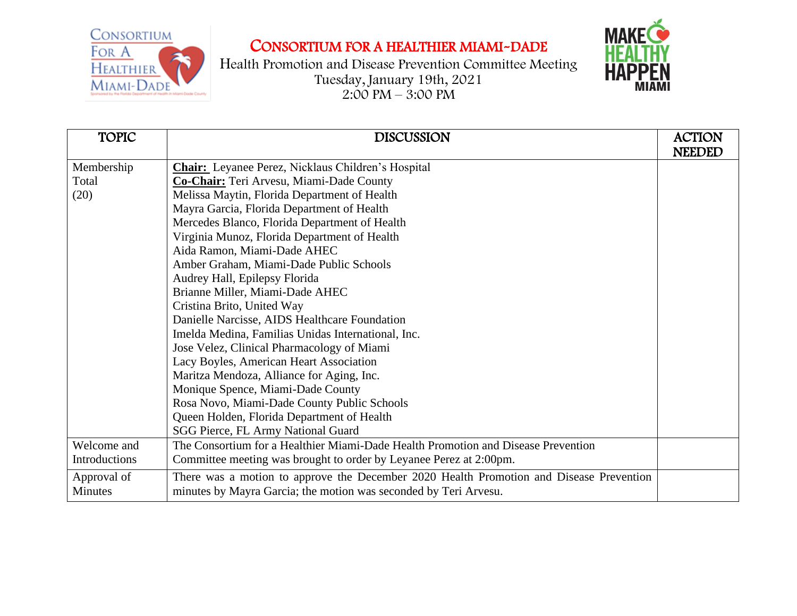

Health Promotion and Disease Prevention Committee Meeting Tuesday, January 19th, 2021  $2:00 \text{ PM} - 3:00 \text{ PM}$ 



| <b>TOPIC</b>         | <b>DISCUSSION</b>                                                                       | <b>ACTION</b> |
|----------------------|-----------------------------------------------------------------------------------------|---------------|
|                      |                                                                                         | <b>NEEDED</b> |
| Membership           | <b>Chair:</b> Leyanee Perez, Nicklaus Children's Hospital                               |               |
| Total                | Co-Chair: Teri Arvesu, Miami-Dade County                                                |               |
| (20)                 | Melissa Maytin, Florida Department of Health                                            |               |
|                      | Mayra Garcia, Florida Department of Health                                              |               |
|                      | Mercedes Blanco, Florida Department of Health                                           |               |
|                      | Virginia Munoz, Florida Department of Health                                            |               |
|                      | Aida Ramon, Miami-Dade AHEC                                                             |               |
|                      | Amber Graham, Miami-Dade Public Schools                                                 |               |
|                      | Audrey Hall, Epilepsy Florida                                                           |               |
|                      | Brianne Miller, Miami-Dade AHEC                                                         |               |
|                      | Cristina Brito, United Way                                                              |               |
|                      | Danielle Narcisse, AIDS Healthcare Foundation                                           |               |
|                      | Imelda Medina, Familias Unidas International, Inc.                                      |               |
|                      | Jose Velez, Clinical Pharmacology of Miami                                              |               |
|                      | Lacy Boyles, American Heart Association                                                 |               |
|                      | Maritza Mendoza, Alliance for Aging, Inc.                                               |               |
|                      | Monique Spence, Miami-Dade County                                                       |               |
|                      | Rosa Novo, Miami-Dade County Public Schools                                             |               |
|                      | Queen Holden, Florida Department of Health                                              |               |
|                      | SGG Pierce, FL Army National Guard                                                      |               |
| Welcome and          | The Consortium for a Healthier Miami-Dade Health Promotion and Disease Prevention       |               |
| <b>Introductions</b> | Committee meeting was brought to order by Leyanee Perez at 2:00pm.                      |               |
| Approval of          | There was a motion to approve the December 2020 Health Promotion and Disease Prevention |               |
| Minutes              | minutes by Mayra Garcia; the motion was seconded by Teri Arvesu.                        |               |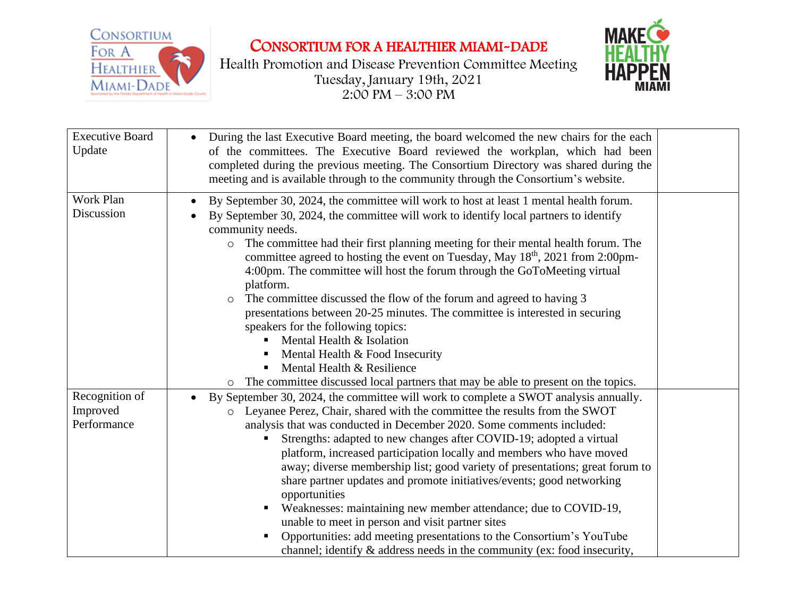

Health Promotion and Disease Prevention Committee Meeting Tuesday, January 19th, 2021  $2:00 \text{ PM} - 3:00 \text{ PM}$ 



| <b>Executive Board</b><br>Update          | During the last Executive Board meeting, the board welcomed the new chairs for the each<br>of the committees. The Executive Board reviewed the workplan, which had been<br>completed during the previous meeting. The Consortium Directory was shared during the<br>meeting and is available through to the community through the Consortium's website.                                                                                                                                                                                                                                                                                                                                                                                                                                                                                             |  |
|-------------------------------------------|-----------------------------------------------------------------------------------------------------------------------------------------------------------------------------------------------------------------------------------------------------------------------------------------------------------------------------------------------------------------------------------------------------------------------------------------------------------------------------------------------------------------------------------------------------------------------------------------------------------------------------------------------------------------------------------------------------------------------------------------------------------------------------------------------------------------------------------------------------|--|
| Work Plan<br>Discussion                   | By September 30, 2024, the committee will work to host at least 1 mental health forum.<br>By September 30, 2024, the committee will work to identify local partners to identify<br>community needs.<br>The committee had their first planning meeting for their mental health forum. The<br>$\circ$<br>committee agreed to hosting the event on Tuesday, May 18 <sup>th</sup> , 2021 from 2:00pm-<br>4:00pm. The committee will host the forum through the GoToMeeting virtual<br>platform.<br>The committee discussed the flow of the forum and agreed to having 3<br>$\circ$<br>presentations between 20-25 minutes. The committee is interested in securing<br>speakers for the following topics:<br>Mental Health & Isolation<br>Mental Health & Food Insecurity<br>Mental Health & Resilience                                                  |  |
|                                           | The committee discussed local partners that may be able to present on the topics.<br>$\circ$                                                                                                                                                                                                                                                                                                                                                                                                                                                                                                                                                                                                                                                                                                                                                        |  |
| Recognition of<br>Improved<br>Performance | By September 30, 2024, the committee will work to complete a SWOT analysis annually.<br>o Leyanee Perez, Chair, shared with the committee the results from the SWOT<br>analysis that was conducted in December 2020. Some comments included:<br>Strengths: adapted to new changes after COVID-19; adopted a virtual<br>platform, increased participation locally and members who have moved<br>away; diverse membership list; good variety of presentations; great forum to<br>share partner updates and promote initiatives/events; good networking<br>opportunities<br>Weaknesses: maintaining new member attendance; due to COVID-19,<br>unable to meet in person and visit partner sites<br>Opportunities: add meeting presentations to the Consortium's YouTube<br>channel; identify $\&$ address needs in the community (ex: food insecurity, |  |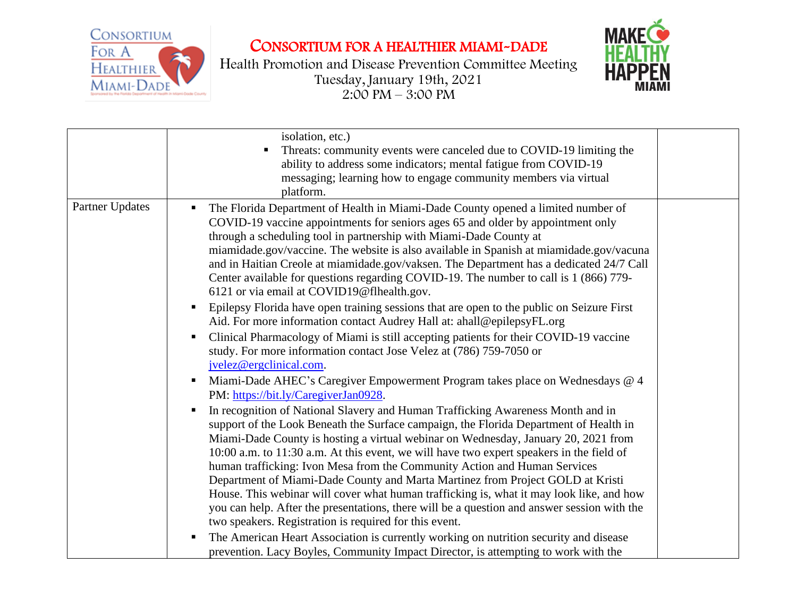

Health Promotion and Disease Prevention Committee Meeting Tuesday, January 19th, 2021 2:00 PM – 3:00 PM



|                        | isolation, etc.)<br>Threats: community events were canceled due to COVID-19 limiting the<br>ability to address some indicators; mental fatigue from COVID-19<br>messaging; learning how to engage community members via virtual<br>platform.                                                                                                                                                                                                                                                                                                                                                                                                                                                                                                              |  |
|------------------------|-----------------------------------------------------------------------------------------------------------------------------------------------------------------------------------------------------------------------------------------------------------------------------------------------------------------------------------------------------------------------------------------------------------------------------------------------------------------------------------------------------------------------------------------------------------------------------------------------------------------------------------------------------------------------------------------------------------------------------------------------------------|--|
| <b>Partner Updates</b> | The Florida Department of Health in Miami-Dade County opened a limited number of<br>п.<br>COVID-19 vaccine appointments for seniors ages 65 and older by appointment only<br>through a scheduling tool in partnership with Miami-Dade County at<br>miamidade.gov/vaccine. The website is also available in Spanish at miamidade.gov/vacuna<br>and in Haitian Creole at miamidade.gov/vaksen. The Department has a dedicated 24/7 Call<br>Center available for questions regarding COVID-19. The number to call is 1 (866) 779-<br>6121 or via email at COVID19@flhealth.gov.                                                                                                                                                                              |  |
|                        | Epilepsy Florida have open training sessions that are open to the public on Seizure First<br>п<br>Aid. For more information contact Audrey Hall at: ahall@epilepsyFL.org<br>Clinical Pharmacology of Miami is still accepting patients for their COVID-19 vaccine<br>п<br>study. For more information contact Jose Velez at (786) 759-7050 or<br>jvelez@ergclinical.com.                                                                                                                                                                                                                                                                                                                                                                                  |  |
|                        | Miami-Dade AHEC's Caregiver Empowerment Program takes place on Wednesdays @ 4<br>п<br>PM: https://bit.ly/CaregiverJan0928.<br>In recognition of National Slavery and Human Trafficking Awareness Month and in<br>п.<br>support of the Look Beneath the Surface campaign, the Florida Department of Health in<br>Miami-Dade County is hosting a virtual webinar on Wednesday, January 20, 2021 from<br>10:00 a.m. to 11:30 a.m. At this event, we will have two expert speakers in the field of<br>human trafficking: Ivon Mesa from the Community Action and Human Services<br>Department of Miami-Dade County and Marta Martinez from Project GOLD at Kristi<br>House. This webinar will cover what human trafficking is, what it may look like, and how |  |
|                        | you can help. After the presentations, there will be a question and answer session with the<br>two speakers. Registration is required for this event.<br>The American Heart Association is currently working on nutrition security and disease<br>п<br>prevention. Lacy Boyles, Community Impact Director, is attempting to work with the                                                                                                                                                                                                                                                                                                                                                                                                                 |  |